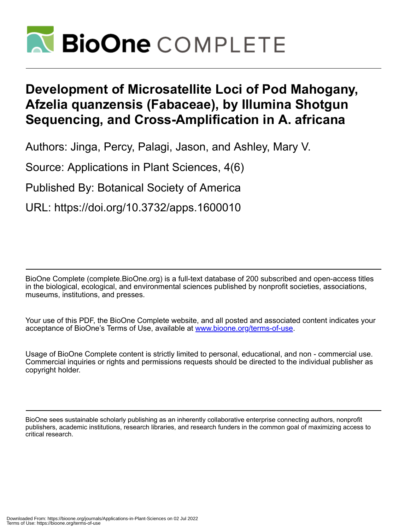

# **Development of Microsatellite Loci of Pod Mahogany, Afzelia quanzensis (Fabaceae), by Illumina Shotgun Sequencing, and Cross-Amplification in A. africana**

Authors: Jinga, Percy, Palagi, Jason, and Ashley, Mary V.

Source: Applications in Plant Sciences, 4(6)

Published By: Botanical Society of America

URL: https://doi.org/10.3732/apps.1600010

BioOne Complete (complete.BioOne.org) is a full-text database of 200 subscribed and open-access titles in the biological, ecological, and environmental sciences published by nonprofit societies, associations, museums, institutions, and presses.

Your use of this PDF, the BioOne Complete website, and all posted and associated content indicates your acceptance of BioOne's Terms of Use, available at www.bioone.org/terms-of-use.

Usage of BioOne Complete content is strictly limited to personal, educational, and non - commercial use. Commercial inquiries or rights and permissions requests should be directed to the individual publisher as copyright holder.

BioOne sees sustainable scholarly publishing as an inherently collaborative enterprise connecting authors, nonprofit publishers, academic institutions, research libraries, and research funders in the common goal of maximizing access to critical research.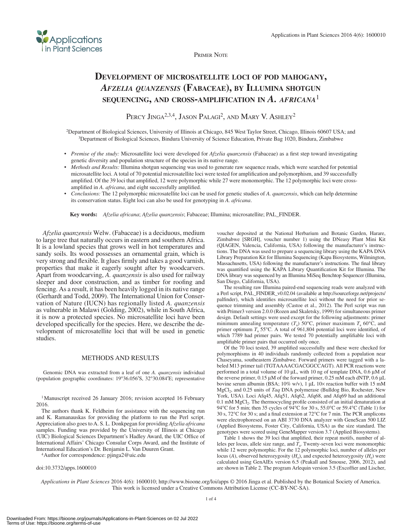

Primer Note

# **Development of microsatellite loci of pod mahogany,**  *Afzelia quanzensis* **(Fabaceae), by Illumina shotgun sequencing, and cross-amplification in** *A. africana*<sup>1</sup>

PERCY JINGA<sup>2,3,4</sup>, JASON PALAGI<sup>2</sup>, AND MARY V. ASHLEY<sup>2</sup>

<sup>2</sup>Department of Biological Sciences, University of Illinois at Chicago, 845 West Taylor Street, Chicago, Illinois 60607 USA; and <sup>3</sup>Department of Biological Sciences, Bindura University of Science Education, Private Bag 1

- • *Premise of the study:* Microsatellite loci were developed for *Afzelia quanzensis* (Fabaceae) as a first step toward investigating genetic diversity and population structure of the species in its native range.
- *Methods and Results:* Illumina shotgun sequencing was used to generate raw sequence reads, which were searched for potential microsatellite loci. A total of 70 potential microsatellite loci were tested for amplification and polymorphism, and 39 successfully amplified. Of the 39 loci that amplified, 12 were polymorphic while 27 were monomorphic. The 12 polymorphic loci were crossamplified in *A. africana*, and eight successfully amplified.
- *Conclusions:* The 12 polymorphic microsatellite loci can be used for genetic studies of *A. quanzensis*, which can help determine its conservation status. Eight loci can also be used for genotyping in *A. africana*.

**Key words:** *Afzelia africana*; *Afzelia quanzensis*; Fabaceae; Illumina; microsatellite; PAL\_FINDER.

*Afzelia quanzensis* Welw. (Fabaceae) is a deciduous, medium to large tree that naturally occurs in eastern and southern Africa. It is a lowland species that grows well in hot temperatures and sandy soils. Its wood possesses an ornamental grain, which is very strong and flexible. It glues firmly and takes a good varnish, properties that make it eagerly sought after by woodcarvers. Apart from woodcarving, *A. quanzensis* is also used for railway sleeper and door construction, and as timber for roofing and fencing. As a result, it has been heavily logged in its native range (Gerhardt and Todd, 2009). The International Union for Conservation of Nature (IUCN) has regionally listed *A. quanzensis* as vulnerable in Malawi (Golding, 2002), while in South Africa, it is now a protected species. No microsatellite loci have been developed specifically for the species. Here, we describe the development of microsatellite loci that will be used in genetic studies.

### METHODS AND RESULTS

Genomic DNA was extracted from a leaf of one *A. quanzensis* individual (population geographic coordinates: 19°36.056′S, 32°30.084′E; representative

<sup>1</sup>Manuscript received 26 January 2016; revision accepted 16 February 2016.

The authors thank K. Feldheim for assistance with the sequencing run and K. Ramanauskas for providing the platform to run the Perl script. Appreciation also goes to A. S. L. Donkpegan for providing *Afzelia africana* samples. Funding was provided by the University of Illinois at Chicago (UIC) Biological Sciences Department's Hadley Award, the UIC Office of International Affairs' Chicago Consular Corps Award, and the Institute of International Education's Dr. Benjamin L. Van Duuren Grant.

4Author for correspondence: pjinga2@uic.edu

doi:10.3732/apps.1600010

voucher deposited at the National Herbarium and Botanic Garden, Harare, Zimbabwe [SRGH], voucher number 1) using the DNeasy Plant Mini Kit (QIAGEN, Valencia, California, USA) following the manufacturer's instructions. The DNA was used to prepare a sequencing library using the KAPA DNA Library Preparation Kit for Illumina Sequencing (Kapa Biosystems, Wilmington, Massachusetts, USA) following the manufacturer's instructions. The final library was quantified using the KAPA Library Quantification Kit for Illumina. The DNA library was sequenced by an Illumina MiSeq Benchtop Sequencer (Illumina, San Diego, California, USA).

The resulting raw Illumina paired-end sequencing reads were analyzed with a Perl script, PAL\_FINDER\_v0.02.04 (available at [http://sourceforge.net/projects/](http://sourceforge.net/projects/palfinder) [palfinder](http://sourceforge.net/projects/palfinder)), which identifies microsatellite loci without the need for prior sequence trimming and assembly (Castoe et al., 2012). The Perl script was run with Primer3 version 2.0.0 (Rozen and Skaletsky, 1999) for simultaneous primer design. Default settings were used except for the following adjustments: primer minimum annealing temperature  $(T_a)$  50°C, primer maximum  $T_a$  60°C, and primer optimum  $T_a$  55°C. A total of 961,804 potential loci were identified, of which 7789 had primer pairs. We tested 70 potentially amplifiable loci with amplifiable primer pairs that occurred only once.

Of the 70 loci tested, 39 amplified successfully and these were checked for polymorphisms in 40 individuals randomly collected from a population near Chaseyama, southeastern Zimbabwe. Forward primers were tagged with a labeled M13 primer tail (TGTAAAACGACGGCCAGT). All PCR reactions were performed in a total volume of 10 μL, with 10 ng of template DNA, 0.6 μM of the reverse primer, 0.15 μM of the forward primer, 0.25 mM each dNTP, 0.6 μL bovine serum albumin (BSA; 10% w/v), 1 μL 10× reaction buffer with 15 mM MgCl2, and 0.25 units of *Taq* DNA polymerase (Bulldog Bio, Rochester, New York, USA). Loci Afq45, Afq51, Afq62, Afq68, and Afq69 had an additional  $0.1 \text{ mM } MgCl<sub>2</sub>$ . The thermocycling profile consisted of an initial denaturation at 94°C for 5 min; then 35 cycles of 94°C for 30 s, 55.0°C or 59.4°C (Table 1) for 30 s, 72°C for 30 s; and a final extension at 72°C for 7 min. The PCR amplicons were electrophoresed on an ABI 3730 DNA analyzer with GeneScan 500 LIZ (Applied Biosystems, Foster City, California, USA) as the size standard. The genotypes were scored using GeneMapper version 3.7 (Applied Biosystems).

Table 1 shows the 39 loci that amplified, their repeat motifs, number of alleles per locus, allele size range, and  $\hat{T}_a$ . Twenty-seven loci were monomorphic while 12 were polymorphic. For the 12 polymorphic loci, number of alleles per locus (*A*), observed heterozygosity ( $H_0$ ), and expected heterozygosity ( $H_e$ ) were calculated using GenAlEx version 6.5 (Peakall and Smouse, 2006, 2012), and are shown in Table 2. The program Arlequin version 3.5 (Excoffier and Lischer,

*Applications in Plant Sciences* 2016 4(6): 1600010; http://www.bioone.org/loi/apps © 2016 Jinga et al. Published by the Botanical Society of America. This work is licensed under a Creative Commons Attribution License (CC-BY-NC-SA).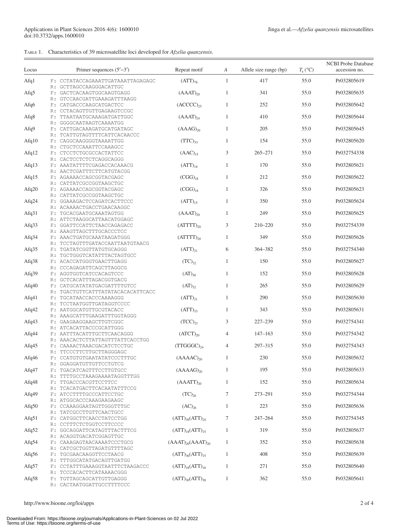# Table 1. Characteristics of 39 microsatellite loci developed for *Afzelia quanzensis.*

| Locus    |          | Primer sequences $(5'–3')$                                                         | Repeat motif             | A              | Allele size range (bp) | $T_{\rm a}$ (°C) | <b>NCBI Probe Database</b><br>accession no. |
|----------|----------|------------------------------------------------------------------------------------|--------------------------|----------------|------------------------|------------------|---------------------------------------------|
| Afq1     |          | F: CCTATACCAGAAATTGATAAATTAGAGAGC                                                  | $(ATT)_{78}$             | $\mathbf{1}$   | 417                    | 55.0             | Pr032805619                                 |
| Afq5     | R:       | GCTTAGCCAAGGGACATTGC<br>F: GACTCACAAGTGGCAAGTGAGG                                  | $(AAAT)_{20}$            | $\mathbf{1}$   | 341                    | 55.0             | Pr032805635                                 |
| Afq6     | R:       | GTCCAACGATTGAAAGATTTAAGG<br>F: CATGACCCAAGCATGACTCC                                | $(ACCCC)_{25}$           | $\mathbf{1}$   | 252                    | 55.0             | Pr032805642                                 |
| Afq8     | R:       | CCTACAGTTGTTGAGAAGTCCGC<br>F: TTAATAATGCAAAGATGATTGGC                              | $(AAAT)_{24}$            | $\mathbf{1}$   | 410                    | 55.0             | Pr032805644                                 |
| Afq9     | R:       | GGGGCAATAAGTCAAAATGG<br>F: CATTGACAAAGATGCATGATAGC                                 | $(AAAG)_{20}$            | $\mathbf{1}$   | 205                    | 55.0             | Pr032805645                                 |
| Afq $10$ | R:       | TCATTGTAGTTTTCATTCACAACCC<br>F: CAGGCAAGGGGTAAAATTGG                               | $(TTC)_{33}$             | $\mathbf{1}$   | 154                    | 55.0             | Pr032805620                                 |
| Afg $12$ | R:       | CTGCTCCAAATTCCAAAGCC<br>F: CTCCTCTGCGCCACTATTCC                                    | $(AAC)_{15}$             | 3              | $265 - 271$            | 55.0             | Pr032754338                                 |
| Afg $13$ | R:       | CACTCCTCTCTCAGGCAGGG<br>F: AAATATTTTCGAGACCACAAACG                                 | $(ATT)_{18}$             | $\mathbf{1}$   | 170                    | 55.0             | Pr032805621                                 |
| Afq $15$ | R:       | AACTCGATTTCTTCATGTACGG<br>F: AGAAAACCAGCGGTACGAGC                                  | $(CGG)_{18}$             | $\mathbf{1}$   | 212                    | 55.0             | Pr032805622                                 |
| Afq20    | R:       | CATTATCGCCGGTAAGCTGC<br>F: AGAAAACCAGCGGTACGAGC                                    | $(CGG)_{18}$             | $\mathbf{1}$   | 326                    | 55.0             | Pr032805623                                 |
| Afq24    | R:       | CATTATCGCCGGTAAGCTGC<br>F: GGAAAGACTCCAGATCACTTCCC                                 | $(ATT)_{15}$             | $\mathbf{1}$   | 350                    | 55.0             | Pr032805624                                 |
| Afq31    | R:       | ACAAAACTGACCTGAACAAGGC<br>F: TGCACGAATGCAAATAGTGG                                  | $(AAAT)_{20}$            | $\mathbf{1}$   | 249                    | 55.0             | Pr032805625                                 |
| Afg $33$ | R:       | ATTCTAAGGCATTAACATGGAGC<br>F: GGATTCCATTCTAACCAGAGACC                              | $(ATTTT)_{20}$           | 3              | 210-220                | 55.0             | Pr032754339                                 |
| Afg $34$ | R:       | AAAGTTAGCTTTGCACCCTCC<br>F: AAACTGATGCAAATAAGATGGG<br>TCCTAGTTTGATACCAATTAATGTAACG | $(ATTTT)_{20}$           | $\mathbf{1}$   | 349                    | 55.0             | Pr032805626                                 |
| Afg $35$ | R:<br>R: | F: TGATATCGGTTATGTGCAGGG<br>TGCTGGGTCATATTTACTAGTGCC                               | $(ATT)_{21}$             | 6              | 364-382                | 55.0             | Pr032754340                                 |
| Afg $38$ | R:       | F: ACACCATGGGTGAACTTGAGG<br>CCCAGAGATTCAGCTTAGGCG                                  | $(TC)_{32}$              | $\mathbf{1}$   | 150                    | 55.0             | Pr032805627                                 |
| Afq $39$ | R:       | F: AGGTGGTCATCCACAGTCCC<br>GCTCACATTTAGACGGTGACG                                   | $(AT)_{30}$              | $\mathbf{1}$   | 152                    | 55.0             | Pr032805628                                 |
| Afq $40$ | R:       | F: CATGCATATATGACGATTTTGTCC<br>TGACTGTTCATTTATATACACACATTCACC                      | $(AT)_{32}$              | $\mathbf{1}$   | 265                    | 55.0             | Pr032805629                                 |
| Afq $41$ | R:       | F: TGCATAACCACCCAAAAGGG<br>TCCTAATGGTTGATAGGTCCCC                                  | $(ATT)_{21}$             | $\mathbf{1}$   | 290                    | 55.0             | Pr032805630                                 |
| Afq $42$ | R:       | F: AATGGCATGTTGCGTACACC<br>AAAGCATTTGAAGATTTGGTAGGG                                | $(ATT)_{33}$             | $\mathbf{1}$   | 343                    | 55.0             | Pr032805631                                 |
| Afq $43$ | R:       | F: GAAGAAGGAAGCTTGTCGGC<br>ATCACATTACCCGCATTGGG                                    | $(TCC)_{21}$             | 3              | 227-239                | 55.0             | Pr032754341                                 |
| Afq44    | R:       | F: AATTTACATTTGCTTCAACAGGG<br>AAACACTCTTATTAGTTTATTCACCTGG                         | $(ATCT)_{20}$            | 4              | $147 - 163$            | 55.0             | Pr032754342                                 |
| Afq $45$ |          | F: CAAAACTAAACGACATCTCCTGC<br>R: TTCCCTTCTTGCTTAGGGAGC                             | $(TTGGGC)_{24}$          | $\overline{4}$ | 297-315                | 55.0             | Pr032754343                                 |
| Afq46    |          | F: CCATGTGTGAATATATCCCTTTGC<br>R: GGAGGATGTTGTTCCTGTCG                             | $(AAAAC)_{20}$           | 1              | 230                    | 55.0             | Pr032805632                                 |
| Afq47    | R:       | F: TGACATCAGTTTCCTTGTGCC<br>TTTTGCCTAAAGAAAATAGGTTTGG                              | $(AAAAG)_{20}$           | $\mathbf{1}$   | 195                    | 55.0             | Pr032805633                                 |
| Afq $48$ | R:       | F: TTGACCCACGTTCCTTCC<br>TCACATGACTTCACAATATTTCCG                                  | $(AAATT)_{20}$           | $\mathbf{1}$   | 152                    | 55.0             | Pr032805634                                 |
| Af $q49$ | R:       | F: ATCCTTTTGCCCATTCCTGC<br>ATGGCACCCAAAGAAGAAGC                                    | $(TC)_{26}$              | 7              | 273-291                | 55.0             | Pr032754344                                 |
| Afg $50$ | R:       | F: CCAAAGGAATAGTTGGGTTTGC<br>TATCGCCTTGTTCAACTGCC                                  | $(AC)_{26}$              | $\mathbf{1}$   | 223                    | 55.0             | Pr032805636                                 |
| Afq51    | R:       | F: CATGGCTTCAACCTATCCTGG<br>CCTTTCTCTGGTCCTTCCCC                                   | $(ATT)_{39} (ATT)_{24}$  | 7              | 247-264                | 55.0             | Pr032754345                                 |
| Afg $52$ | R:       | F: GGCAGGATTCATAGTTTACTTTCG<br>ACAGGTGACATCGGAGTTGC                                | $(ATT)_{18}(ATT)_{15}$   | $\mathbf{1}$   | 319                    | 55.0             | Pr032805637                                 |
| Afq $54$ | R:       | F: CAAAGAGTAACAAAATCCCTGCG<br>CATCGCTGGTTAGATGTTTTAGC                              | $(AAAT)_{20}(AAAT)_{20}$ | $\mathbf{1}$   | 352                    | 55.0             | Pr032805638                                 |
| Afq $56$ | R:       | F: TGCGAACAAGGTTCCTAACG<br>TTTGGCATATGACAGTTGATGG                                  | $(ATT)_{36}(ATT)_{15}$   | $\mathbf{1}$   | 408                    | 55.0             | Pr032805639                                 |
| Afq $57$ |          | F: CCTATTTGAAAGGTAATTTCTAAGACCC<br>R: TCCCACACTTCATAAAACGGG                        | $(ATT)_{18}(ATT)_{18}$   | $\mathbf{1}$   | 271                    | 55.0             | Pr032805640                                 |
| Afq $58$ |          | F: TGTTAGCAGCATTGTTGAGGG<br>R: CACTAATGGATTGCCTTTTCCC                              | $(ATT)_{30}(ATT)_{30}$   | $\mathbf{1}$   | 362                    | 55.0             | Pr032805641                                 |

http://www.bioone.org/loi/apps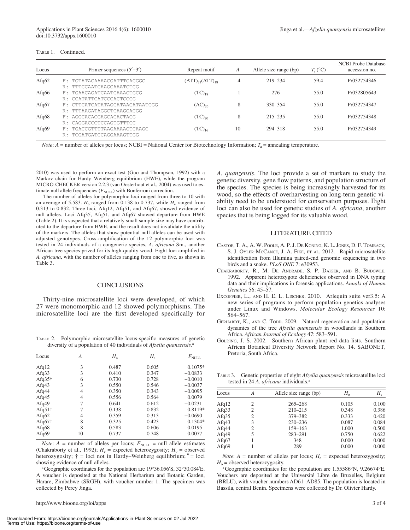| Locus    | Primer sequences $(5'–3')$     | Repeat motif           | А  | Allele size range (bp) | $T_{\rm a}$ (°C) | <b>NCBI Probe Database</b><br>accession no. |
|----------|--------------------------------|------------------------|----|------------------------|------------------|---------------------------------------------|
| Afg $62$ | F: TGTATACAAAACGATTTGACGGC     | $(ATT)_{21}(ATT)_{18}$ | 4  | 219-234                | 59.4             | Pr032754346                                 |
|          | R: TTTCCAATCAAGCAAATCTCG       |                        |    |                        |                  |                                             |
| Afg $66$ | F: TGAACAGATCAATCAAAGTGCG      | $(TC)_{18}$            |    | 276                    | 55.0             | Pr032805643                                 |
|          | R: CCATATTCATCCCACTCCCG        |                        |    |                        |                  |                                             |
| Afg $67$ | F: CTTCATCATATAGCATAAGATAATCGG | $(AC)_{26}$            | 8  | 330-354                | 55.0             | Pr032754347                                 |
|          | R: TTTAAGATAGGCTCAAGGACGG      |                        |    |                        |                  |                                             |
| Afg $68$ | F: AGGCACACGAGCACACTAGG        | $(TC)_{20}$            | 8  | $215 - 235$            | 55.0             | Pr032754348                                 |
|          | R: CAGGACCCTCCAGTGTTTCC        |                        |    |                        |                  |                                             |
| Afg $69$ | F: TGACCGTTTTAAGAAAAGTCAAGC    | $(TC)_{16}$            | 10 | 294-318                | 55.0             | Pr032754349                                 |
|          | TCGATGATCCAGGAAAGTTGG          |                        |    |                        |                  |                                             |

*Note*: *A* = number of alleles per locus; NCBI = National Center for Biotechnology Information; *T*<sub>a</sub> = annealing temperature.

2010) was used to perform an exact test (Guo and Thompson, 1992) with a Markov chain for Hardy–Weinberg equilibrium (HWE), while the program MICRO-CHECKER version 2.2.3 (van Oosterhout et al., 2004) was used to estimate null allele frequencies  $(F_{\text{NUL}})$  with Bonferroni correction.

The number of alleles for polymorphic loci ranged from three to 10 with an average of 5.583.  $H_0$  ranged from 0.138 to 0.737, while  $H_e$  ranged from 0.313 to 0.832. Three loci, Afq12, Afq51, and Afq67, showed evidence of null alleles. Loci Afq35, Afq51, and Afq67 showed departure from HWE (Table 2). It is suspected that a relatively small sample size may have contributed to the departure from HWE, and the result does not invalidate the utility of the markers. The alleles that show potential null alleles can be used with adjusted genotypes. Cross-amplification of the 12 polymorphic loci was tested in 24 individuals of a congeneric species, *A. africana* Sm., another African tree species prized for its high-quality wood. Eight loci amplified in *A. africana*, with the number of alleles ranging from one to five, as shown in Table 3.

## CONCLUSIONS

Thirty-nine microsatellite loci were developed, of which 27 were monomorphic and 12 showed polymorphisms. The microsatellite loci are the first developed specifically for

Table 2. Polymorphic microsatellite locus-specific measures of genetic diversity of a population of 40 individuals of *Afzelia quanzensis.*<sup>a</sup>

| Locus           | А              | $H_{\rm o}$ | $H_{\rm e}$ | $F_{\rm NULL}$ |
|-----------------|----------------|-------------|-------------|----------------|
| Afg $12$        | 3              | 0.487       | 0.605       | $0.1075*$      |
| Afg $33$        | 3              | 0.410       | 0.347       | $-0.0833$      |
| Afg $35\dagger$ | 6              | 0.730       | 0.728       | $-0.0010$      |
| Af $q43$        | 3              | 0.550       | 0.546       | $-0.0037$      |
| Afg $44$        | 4              | 0.350       | 0.343       | $-0.0095$      |
| Af $q45$        | $\overline{4}$ | 0.556       | 0.564       | 0.0079         |
| Af $q49$        | 7              | 0.641       | 0.612       | $-0.0231$      |
| Afg $51\dagger$ | 7              | 0.138       | 0.832       | 0.8119*        |
| Afg $62$        | 4              | 0.359       | 0.313       | $-0.0690$      |
| Afg $67\dagger$ | 8              | 0.325       | 0.423       | $0.1304*$      |
| Af $q68$        | 8              | 0.583       | 0.606       | 0.0195         |
| Afq69           | 10             | 0.737       | 0.748       | 0.0077         |

*Note*:  $A$  = number of alleles per locus;  $F_{\text{NULL}}$  = null allele estimates (Chakraborty et al., 1992);  $H_e$  = expected heterozygosity;  $H_o$  = observed heterozygosity;  $\dagger$  = loci not in Hardy–Weinberg equilibrium;  $*$  = loci showing evidence of null alleles.

aGeographic coordinates for the population are 19°36.056′S, 32°30.084′E. A voucher is deposited at the National Herbarium and Botanic Garden, Harare, Zimbabwe (SRGH), with voucher number 1. The specimen was collected by Percy Jinga.

*A. quanzensis*. The loci provide a set of markers to study the genetic diversity, gene flow patterns, and population structure of the species. The species is being increasingly harvested for its wood, so the effects of overharvesting on long-term genetic viability need to be understood for conservation purposes. Eight loci can also be used for genetic studies of *A. africana*, another species that is being logged for its valuable wood.

#### LITERATURE CITED

- Castoe, T. A., A. W. Poole, A. P. J. De Koning, K. L.Jones, D. F. Tomback, S. J. OYLER-MCCANCE, J. A. FIKE, ET AL. 2012. Rapid microsatellite identification from Illumina paired-end genomic sequencing in two birds and a snake. *PLoS ONE* 7: e30953.
- Chakraborty, R., M. De Andrade, S. P. Daiger, and B. Budowle. 1992. Apparent heterozygote deficiencies observed in DNA typing data and their implications in forensic applications. *Annals of Human Genetics* 56: 45–57.
- EXCOFFIER, L., AND H. E. L. LISCHER. 2010. Arlequin suite ver3.5: A new series of programs to perform population genetics analyses under Linux and Windows. *Molecular Ecology Resources* 10: 564–567.
- GERHARDT, K., AND C. TODD. 2009. Natural regeneration and population dynamics of the tree *Afzelia quanzensis* in woodlands in Southern Africa. *African Journal of Ecology* 47: 583–591.
- GOLDING, J. S. 2002. Southern African plant red data lists. Southern African Botanical Diversity Network Report No. 14. SABONET, Pretoria, South Africa.

Table 3. Genetic properties of eight *Afzelia quanzensis* microsatellite loci tested in 24 *A. africana* individuals.<sup>a</sup>

| Locus    | А              | Allele size range (bp) | $H_{\rm o}$ | $H_{\rm e}$ |
|----------|----------------|------------------------|-------------|-------------|
| Afg $12$ | 2              | $265 - 268$            | 0.105       | 0.100       |
| Afg $33$ | $\overline{c}$ | $210 - 215$            | 0.348       | 0.386       |
| Afg $35$ | 2              | 379-382                | 0.333       | 0.420       |
| Afq43    | 3              | $230 - 236$            | 0.087       | 0.084       |
| Afg $44$ | 2              | 159-163                | 1.000       | 0.500       |
| Af $q49$ | 5              | 283-291                | 0.750       | 0.622       |
| Afg $67$ |                | 348                    | 0.000       | 0.000       |
| Afg $69$ |                | 289                    | 0.000       | 0.000       |

*Note*:  $A =$  number of alleles per locus;  $H_e =$  expected heterozygosity;  $H<sub>o</sub>$  = observed heterozygosity.

aGeographic coordinates for the population are 1.55586°N, 9.26674°E. Vouchers are deposited at the Université Libre de Bruxelles, Belgium (BRLU), with voucher numbers AD61–AD85. The population is located in Bassila, central Benin. Specimens were collected by Dr. Olivier Hardy.